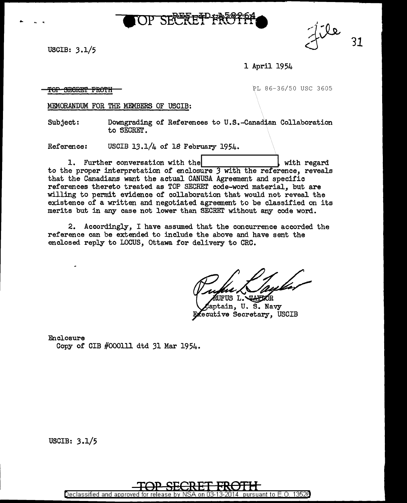

USCIB: 3.1/5

..



1 April 1954

**TOP SECRET FROTH** 

MEMORANDUM FOR THE MEMBERS OF USCIB:

Subject: Downgrading of References to U.S.-Canadian Collaboration to SECRET.

Reference: USCIB 13.1/4 of 1\$ February 1954.

1. Further conversation with the l with regard to the proper interpretation of enclosure *3* with the reference, reveals that the Canadians want the actual CANUSA Agreement and specific references thereto treated as TOP SECREI' code-word material, but are willing to permit evidence of collaboration that would not reveal the existence of a written and negotiated agreement to be classified on its merits but in any case not lower than SECRET without any code word.

2. Accordingly, I have assumed that the concurrence accorded the reference can be extended to include the above and have sent the enclosed reply to LOCUS, Ottawa for delivery to CRC.

TAFFOR FIIS I.

aptain, U. S. Navy ecutive Secretary, USCIB

Enclosure Copy of CIB #000111 dtd 31 Mar 1954.

USCIB: 3.1/5